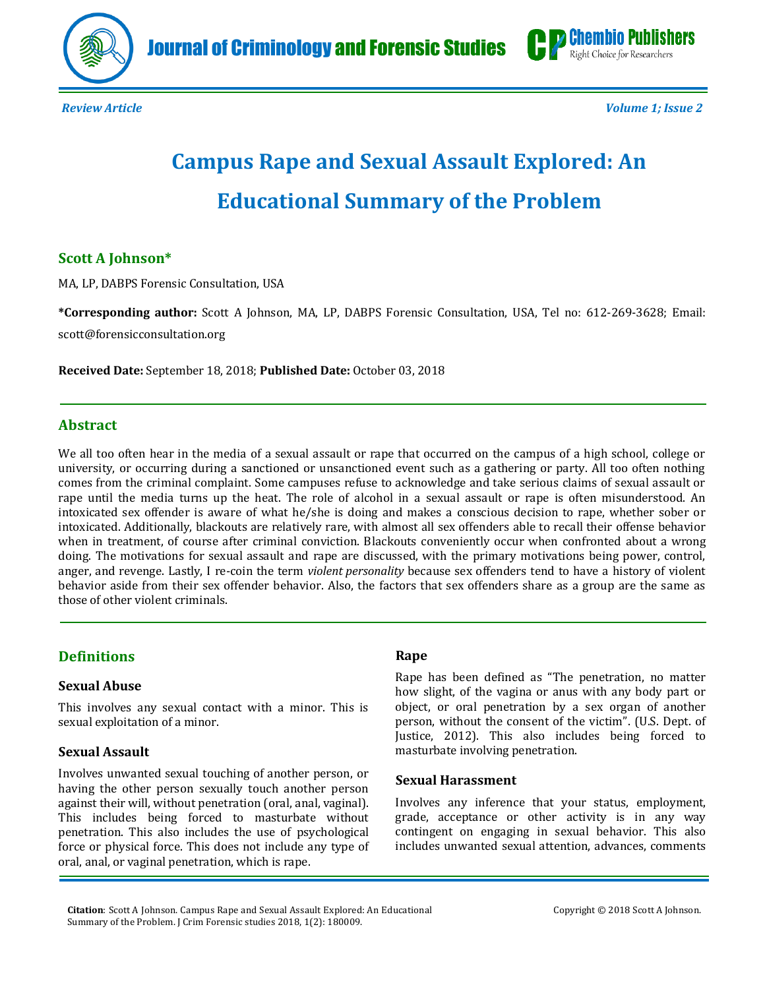



*Review Article Volume 1; Issue 2*

# **Campus Rape and Sexual Assault Explored: An Educational Summary of the Problem**

# **Scott A Johnson\***

MA, LP, DABPS Forensic Consultation, USA

**\*Corresponding author:** Scott A Johnson, MA, LP, DABPS Forensic Consultation, USA, Tel no: 612-269-3628; Email:

[scott@forensicconsultation.org](mailto:scott@forensicconsultation.org)

**Received Date:** September 18, 2018; **Published Date:** October 03, 2018

## **Abstract**

We all too often hear in the media of a sexual assault or rape that occurred on the campus of a high school, college or university, or occurring during a sanctioned or unsanctioned event such as a gathering or party. All too often nothing comes from the criminal complaint. Some campuses refuse to acknowledge and take serious claims of sexual assault or rape until the media turns up the heat. The role of alcohol in a sexual assault or rape is often misunderstood. An intoxicated sex offender is aware of what he/she is doing and makes a conscious decision to rape, whether sober or intoxicated. Additionally, blackouts are relatively rare, with almost all sex offenders able to recall their offense behavior when in treatment, of course after criminal conviction. Blackouts conveniently occur when confronted about a wrong doing. The motivations for sexual assault and rape are discussed, with the primary motivations being power, control, anger, and revenge. Lastly, I re-coin the term *violent personality* because sex offenders tend to have a history of violent behavior aside from their sex offender behavior. Also, the factors that sex offenders share as a group are the same as those of other violent criminals.

# **Definitions**

#### **Sexual Abuse**

This involves any sexual contact with a minor. This is sexual exploitation of a minor.

#### **Sexual Assault**

Involves unwanted sexual touching of another person, or having the other person sexually touch another person against their will, without penetration (oral, anal, vaginal). This includes being forced to masturbate without penetration. This also includes the use of psychological force or physical force. This does not include any type of oral, anal, or vaginal penetration, which is rape.

#### **Rape**

Rape has been defined as "The penetration, no matter how slight, of the vagina or anus with any body part or object, or oral penetration by a sex organ of another person, without the consent of the victim". (U.S. Dept. of Justice, 2012). This also includes being forced to masturbate involving penetration.

#### **Sexual Harassment**

Involves any inference that your status, employment, grade, acceptance or other activity is in any way contingent on engaging in sexual behavior. This also includes unwanted sexual attention, advances, comments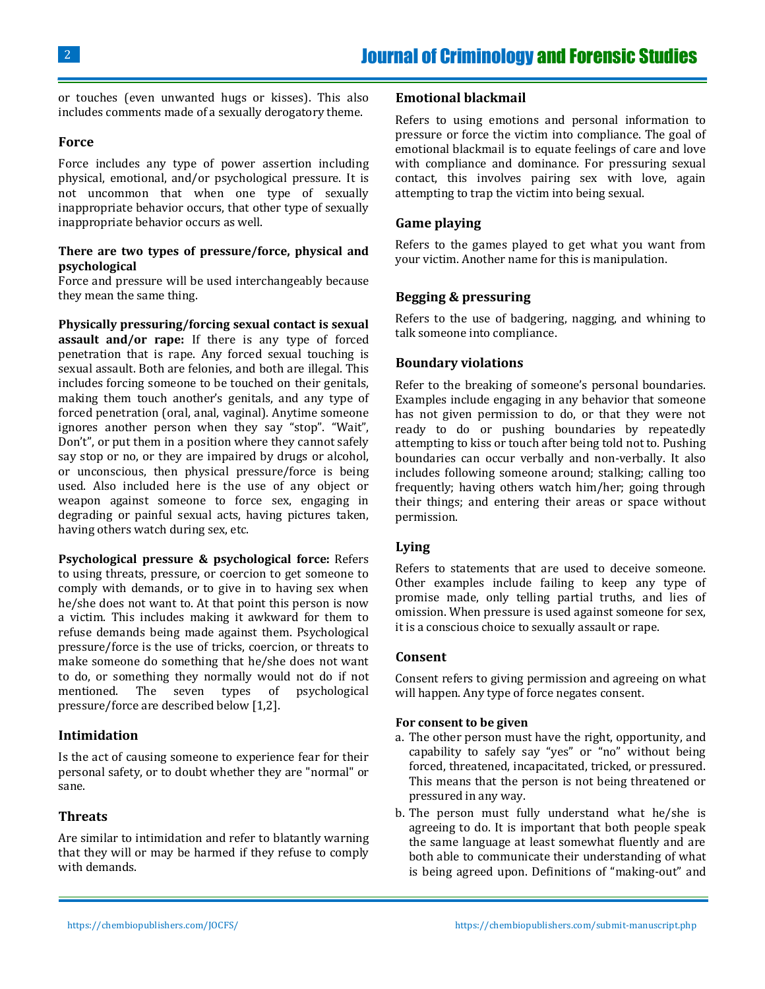or touches (even unwanted hugs or kisses). This also includes comments made of a sexually derogatory theme.

#### **Force**

Force includes any type of power assertion including physical, emotional, and/or psychological pressure. It is not uncommon that when one type of sexually inappropriate behavior occurs, that other type of sexually inappropriate behavior occurs as well.

#### **There are two types of pressure/force, physical and psychological**

Force and pressure will be used interchangeably because they mean the same thing.

**Physically pressuring/forcing sexual contact is sexual assault and/or rape:** If there is any type of forced penetration that is rape. Any forced sexual touching is sexual assault. Both are felonies, and both are illegal. This includes forcing someone to be touched on their genitals, making them touch another's genitals, and any type of forced penetration (oral, anal, vaginal). Anytime someone ignores another person when they say "stop". "Wait", Don't", or put them in a position where they cannot safely say stop or no, or they are impaired by drugs or alcohol, or unconscious, then physical pressure/force is being used. Also included here is the use of any object or weapon against someone to force sex, engaging in degrading or painful sexual acts, having pictures taken, having others watch during sex, etc.

**Psychological pressure & psychological force:** Refers to using threats, pressure, or coercion to get someone to comply with demands, or to give in to having sex when he/she does not want to. At that point this person is now a victim. This includes making it awkward for them to refuse demands being made against them. Psychological pressure/force is the use of tricks, coercion, or threats to make someone do something that he/she does not want to do, or something they normally would not do if not mentioned. The seven types of psychological pressure/force are described below [\[1](#page-7-0)[,2\]](#page-7-1).

#### **Intimidation**

Is the act of causing someone to experience fear for their personal safety, or to doubt whether they are "normal" or sane.

#### **Threats**

Are similar to intimidation and refer to blatantly warning that they will or may be harmed if they refuse to comply with demands.

#### **Emotional blackmail**

Refers to using emotions and personal information to pressure or force the victim into compliance. The goal of emotional blackmail is to equate feelings of care and love with compliance and dominance. For pressuring sexual contact, this involves pairing sex with love, again attempting to trap the victim into being sexual.

#### **Game playing**

Refers to the games played to get what you want from your victim. Another name for this is manipulation.

#### **Begging & pressuring**

Refers to the use of badgering, nagging, and whining to talk someone into compliance.

#### **Boundary violations**

Refer to the breaking of someone's personal boundaries. Examples include engaging in any behavior that someone has not given permission to do, or that they were not ready to do or pushing boundaries by repeatedly attempting to kiss or touch after being told not to. Pushing boundaries can occur verbally and non-verbally. It also includes following someone around; stalking; calling too frequently; having others watch him/her; going through their things; and entering their areas or space without permission.

#### **Lying**

Refers to statements that are used to deceive someone. Other examples include failing to keep any type of promise made, only telling partial truths, and lies of omission. When pressure is used against someone for sex, it is a conscious choice to sexually assault or rape.

#### **Consent**

Consent refers to giving permission and agreeing on what will happen. Any type of force negates consent.

#### **For consent to be given**

- a. The other person must have the right, opportunity, and capability to safely say "yes" or "no" without being forced, threatened, incapacitated, tricked, or pressured. This means that the person is not being threatened or pressured in any way.
- b. The person must fully understand what he/she is agreeing to do. It is important that both people speak the same language at least somewhat fluently and are both able to communicate their understanding of what is being agreed upon. Definitions of "making-out" and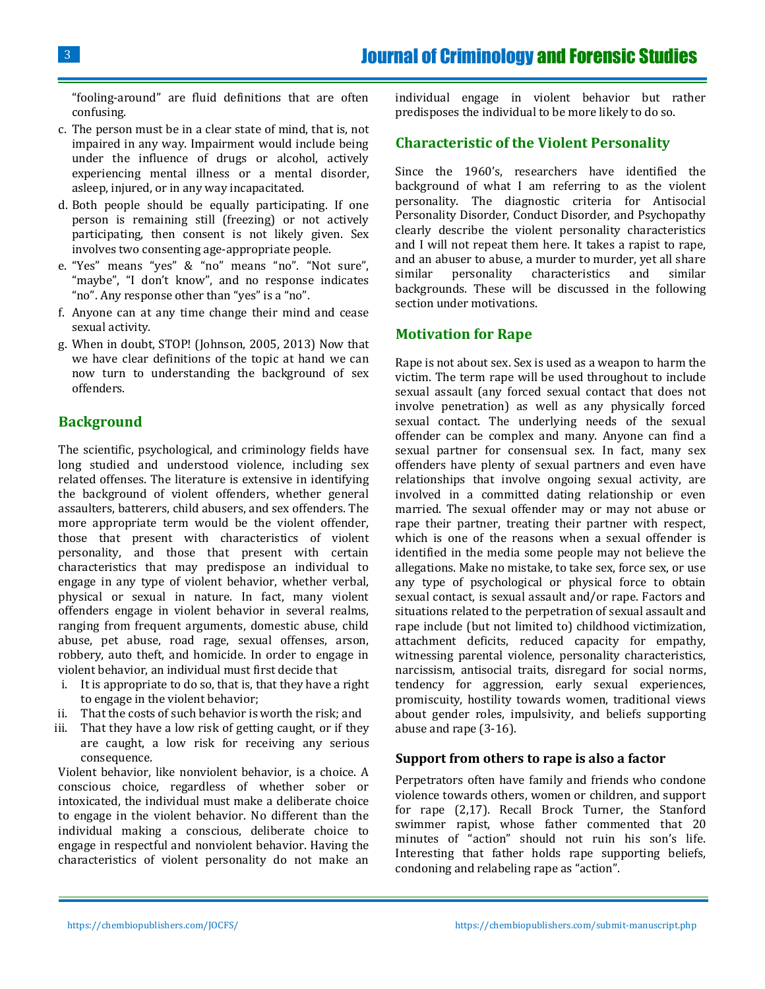"fooling-around" are fluid definitions that are often confusing.

- c. The person must be in a clear state of mind, that is, not impaired in any way. Impairment would include being under the influence of drugs or alcohol, actively experiencing mental illness or a mental disorder, asleep, injured, or in any way incapacitated.
- d. Both people should be equally participating. If one person is remaining still (freezing) or not actively participating, then consent is not likely given. Sex involves two consenting age-appropriate people.
- e. "Yes" means "yes" & "no" means "no". "Not sure", "maybe", "I don't know", and no response indicates "no". Any response other than "yes" is a "no".
- f. Anyone can at any time change their mind and cease sexual activity.
- g. When in doubt, STOP! (Johnson, 2005, 2013) Now that we have clear definitions of the topic at hand we can now turn to understanding the background of sex offenders.

# **Background**

The scientific, psychological, and criminology fields have long studied and understood violence, including sex related offenses. The literature is extensive in identifying the background of violent offenders, whether general assaulters, batterers, child abusers, and sex offenders. The more appropriate term would be the violent offender, those that present with characteristics of violent personality, and those that present with certain characteristics that may predispose an individual to engage in any type of violent behavior, whether verbal, physical or sexual in nature. In fact, many violent offenders engage in violent behavior in several realms, ranging from frequent arguments, domestic abuse, child abuse, pet abuse, road rage, sexual offenses, arson, robbery, auto theft, and homicide. In order to engage in violent behavior, an individual must first decide that

- i. It is appropriate to do so, that is, that they have a right to engage in the violent behavior;
- ii. That the costs of such behavior is worth the risk; and
- iii. That they have a low risk of getting caught, or if they are caught, a low risk for receiving any serious consequence.

Violent behavior, like nonviolent behavior, is a choice. A conscious choice, regardless of whether sober or intoxicated, the individual must make a deliberate choice to engage in the violent behavior. No different than the individual making a conscious, deliberate choice to engage in respectful and nonviolent behavior. Having the characteristics of violent personality do not make an individual engage in violent behavior but rather predisposes the individual to be more likely to do so.

#### **Characteristic of the Violent Personality**

Since the 1960's, researchers have identified the background of what I am referring to as the violent personality. The diagnostic criteria for Antisocial Personality Disorder, Conduct Disorder, and Psychopathy clearly describe the violent personality characteristics and I will not repeat them here. It takes a rapist to rape, and an abuser to abuse, a murder to murder, yet all share similar personality characteristics and similar backgrounds. These will be discussed in the following section under motivations.

#### **Motivation for Rape**

Rape is not about sex. Sex is used as a weapon to harm the victim. The term rape will be used throughout to include sexual assault (any forced sexual contact that does not involve penetration) as well as any physically forced sexual contact. The underlying needs of the sexual offender can be complex and many. Anyone can find a sexual partner for consensual sex. In fact, many sex offenders have plenty of sexual partners and even have relationships that involve ongoing sexual activity, are involved in a committed dating relationship or even married. The sexual offender may or may not abuse or rape their partner, treating their partner with respect, which is one of the reasons when a sexual offender is identified in the media some people may not believe the allegations. Make no mistake, to take sex, force sex, or use any type of psychological or physical force to obtain sexual contact, is sexual assault and/or rape. Factors and situations related to the perpetration of sexual assault and rape include (but not limited to) childhood victimization, attachment deficits, reduced capacity for empathy, witnessing parental violence, personality characteristics, narcissism, antisocial traits, disregard for social norms, tendency for aggression, early sexual experiences, promiscuity, hostility towards women, traditional views about gender roles, impulsivity, and beliefs supporting abuse and rape [\(3](#page-7-2)[-16\)](#page-7-3).

#### **Support from others to rape is also a factor**

Perpetrators often have family and friends who condone violence towards others, women or children, and support for rape [\(2,](#page-7-1)[17\)](#page-7-4). Recall Brock Turner, the Stanford swimmer rapist, whose father commented that 20 minutes of "action" should not ruin his son's life. Interesting that father holds rape supporting beliefs, condoning and relabeling rape as "action".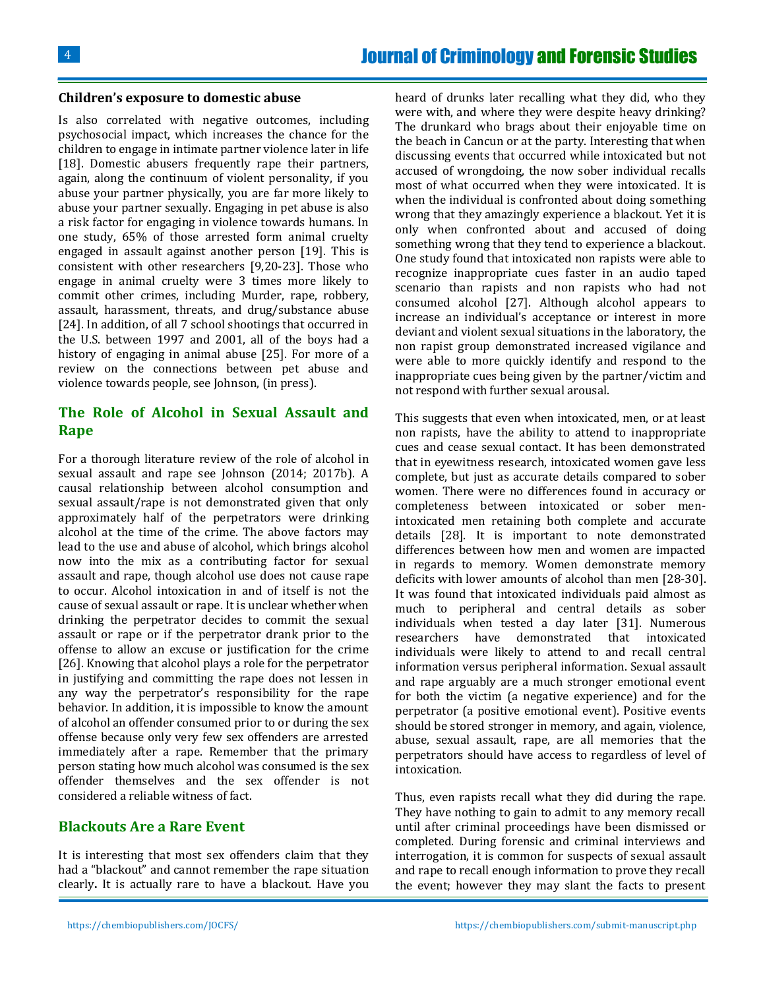#### **Children's exposure to domestic abuse**

Is also correlated with negative outcomes, including psychosocial impact, which increases the chance for the children to engage in intimate partner violence later in life [\[18\]](#page-7-5). Domestic abusers frequently rape their partners, again, along the continuum of violent personality, if you abuse your partner physically, you are far more likely to abuse your partner sexually. Engaging in pet abuse is also a risk factor for engaging in violence towards humans. In one study, 65% of those arrested form animal cruelty engaged in assault against another person [\[19\]](#page-8-0). This is consistent with other researchers [\[9,](#page-7-6)[20-](#page-8-1)[23\]](#page-8-2). Those who engage in animal cruelty were 3 times more likely to commit other crimes, including Murder, rape, robbery, assault, harassment, threats, and drug/substance abuse [\[24\]](#page-8-3). In addition, of all 7 school shootings that occurred in the U.S. between 1997 and 2001, all of the boys had a history of engaging in animal abuse [\[25\]](#page-8-4). For more of a review on the connections between pet abuse and violence towards people, see Johnson, (in press).

# **The Role of Alcohol in Sexual Assault and Rape**

For a thorough literature review of the role of alcohol in sexual assault and rape see Johnson (2014; 2017b). A causal relationship between alcohol consumption and sexual assault/rape is not demonstrated given that only approximately half of the perpetrators were drinking alcohol at the time of the crime. The above factors may lead to the use and abuse of alcohol, which brings alcohol now into the mix as a contributing factor for sexual assault and rape, though alcohol use does not cause rape to occur. Alcohol intoxication in and of itself is not the cause of sexual assault or rape. It is unclear whether when drinking the perpetrator decides to commit the sexual assault or rape or if the perpetrator drank prior to the offense to allow an excuse or justification for the crime [\[26\]](#page-8-5). Knowing that alcohol plays a role for the perpetrator in justifying and committing the rape does not lessen in any way the perpetrator's responsibility for the rape behavior. In addition, it is impossible to know the amount of alcohol an offender consumed prior to or during the sex offense because only very few sex offenders are arrested immediately after a rape. Remember that the primary person stating how much alcohol was consumed is the sex offender themselves and the sex offender is not considered a reliable witness of fact.

## **Blackouts Are a Rare Event**

It is interesting that most sex offenders claim that they had a "blackout" and cannot remember the rape situation clearly**.** It is actually rare to have a blackout. Have you

heard of drunks later recalling what they did, who they were with, and where they were despite heavy drinking? The drunkard who brags about their enjoyable time on the beach in Cancun or at the party. Interesting that when discussing events that occurred while intoxicated but not accused of wrongdoing, the now sober individual recalls most of what occurred when they were intoxicated. It is when the individual is confronted about doing something wrong that they amazingly experience a blackout. Yet it is only when confronted about and accused of doing something wrong that they tend to experience a blackout. One study found that intoxicated non rapists were able to recognize inappropriate cues faster in an audio taped scenario than rapists and non rapists who had not consumed alcohol [\[27\]](#page-8-6). Although alcohol appears to increase an individual's acceptance or interest in more deviant and violent sexual situations in the laboratory, the non rapist group demonstrated increased vigilance and were able to more quickly identify and respond to the inappropriate cues being given by the partner/victim and not respond with further sexual arousal.

This suggests that even when intoxicated, men, or at least non rapists, have the ability to attend to inappropriate cues and cease sexual contact. It has been demonstrated that in eyewitness research, intoxicated women gave less complete, but just as accurate details compared to sober women. There were no differences found in accuracy or completeness between intoxicated or sober menintoxicated men retaining both complete and accurate details [\[28\]](#page-8-7). It is important to note demonstrated differences between how men and women are impacted in regards to memory. Women demonstrate memory deficits with lower amounts of alcohol than men [\[28-](#page-8-7)[30\]](#page-8-8). It was found that intoxicated individuals paid almost as much to peripheral and central details as sober individuals when tested a day later [\[31\]](#page-8-9). Numerous researchers have demonstrated that intoxicated individuals were likely to attend to and recall central information versus peripheral information. Sexual assault and rape arguably are a much stronger emotional event for both the victim (a negative experience) and for the perpetrator (a positive emotional event). Positive events should be stored stronger in memory, and again, violence, abuse, sexual assault, rape, are all memories that the perpetrators should have access to regardless of level of intoxication.

Thus, even rapists recall what they did during the rape. They have nothing to gain to admit to any memory recall until after criminal proceedings have been dismissed or completed. During forensic and criminal interviews and interrogation, it is common for suspects of sexual assault and rape to recall enough information to prove they recall the event; however they may slant the facts to present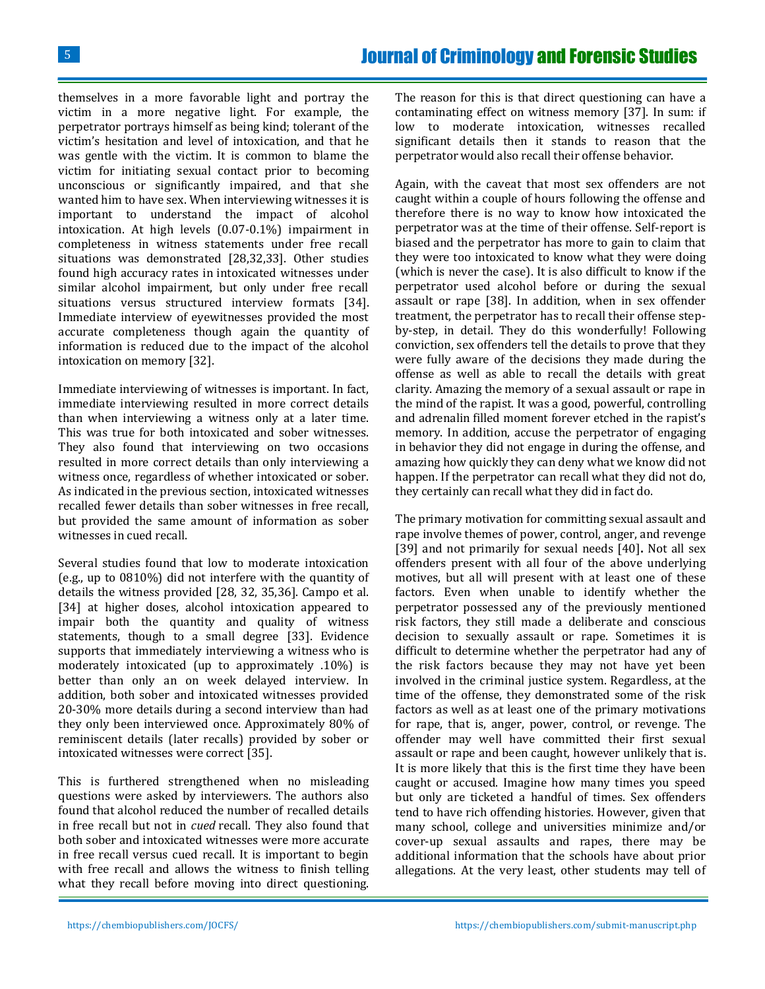themselves in a more favorable light and portray the victim in a more negative light. For example, the perpetrator portrays himself as being kind; tolerant of the victim's hesitation and level of intoxication, and that he was gentle with the victim. It is common to blame the victim for initiating sexual contact prior to becoming unconscious or significantly impaired, and that she wanted him to have sex. When interviewing witnesses it is important to understand the impact of alcohol intoxication. At high levels (0.07-0.1%) impairment in completeness in witness statements under free recall situations was demonstrated [\[28,](#page-8-7)[32,](#page-8-10)[33\]](#page-8-11). Other studies found high accuracy rates in intoxicated witnesses under similar alcohol impairment, but only under free recall situations versus structured interview formats [\[34\]](#page-8-12). Immediate interview of eyewitnesses provided the most accurate completeness though again the quantity of information is reduced due to the impact of the alcohol intoxication on memory [\[32\]](#page-8-10).

Immediate interviewing of witnesses is important. In fact, immediate interviewing resulted in more correct details than when interviewing a witness only at a later time. This was true for both intoxicated and sober witnesses. They also found that interviewing on two occasions resulted in more correct details than only interviewing a witness once, regardless of whether intoxicated or sober. As indicated in the previous section, intoxicated witnesses recalled fewer details than sober witnesses in free recall, but provided the same amount of information as sober witnesses in cued recall.

Several studies found that low to moderate intoxication (e.g., up to 0810%) did not interfere with the quantity of details the witness provided [\[28,](#page-8-7) [32,](#page-8-10) [35](#page-8-13)[,36\]](#page-8-14). Campo et al. [\[34\]](#page-8-12) at higher doses, alcohol intoxication appeared to impair both the quantity and quality of witness statements, though to a small degree [\[33\]](#page-8-11). Evidence supports that immediately interviewing a witness who is moderately intoxicated (up to approximately .10%) is better than only an on week delayed interview. In addition, both sober and intoxicated witnesses provided 20-30% more details during a second interview than had they only been interviewed once. Approximately 80% of reminiscent details (later recalls) provided by sober or intoxicated witnesses were correct [\[35\]](#page-8-13).

This is furthered strengthened when no misleading questions were asked by interviewers. The authors also found that alcohol reduced the number of recalled details in free recall but not in *cued* recall. They also found that both sober and intoxicated witnesses were more accurate in free recall versus cued recall. It is important to begin with free recall and allows the witness to finish telling what they recall before moving into direct questioning.

The reason for this is that direct questioning can have a contaminating effect on witness memory [\[37\]](#page-8-15). In sum: if low to moderate intoxication, witnesses recalled significant details then it stands to reason that the perpetrator would also recall their offense behavior.

Again, with the caveat that most sex offenders are not caught within a couple of hours following the offense and therefore there is no way to know how intoxicated the perpetrator was at the time of their offense. Self-report is biased and the perpetrator has more to gain to claim that they were too intoxicated to know what they were doing (which is never the case). It is also difficult to know if the perpetrator used alcohol before or during the sexual assault or rape [\[38\]](#page-8-16). In addition, when in sex offender treatment, the perpetrator has to recall their offense stepby-step, in detail. They do this wonderfully! Following conviction, sex offenders tell the details to prove that they were fully aware of the decisions they made during the offense as well as able to recall the details with great clarity. Amazing the memory of a sexual assault or rape in the mind of the rapist. It was a good, powerful, controlling and adrenalin filled moment forever etched in the rapist's memory. In addition, accuse the perpetrator of engaging in behavior they did not engage in during the offense, and amazing how quickly they can deny what we know did not happen. If the perpetrator can recall what they did not do, they certainly can recall what they did in fact do.

The primary motivation for committing sexual assault and rape involve themes of power, control, anger, and revenge [\[39\]](#page-8-17) and not primarily for sexual needs [\[40\]](#page-8-18)**.** Not all sex offenders present with all four of the above underlying motives, but all will present with at least one of these factors. Even when unable to identify whether the perpetrator possessed any of the previously mentioned risk factors, they still made a deliberate and conscious decision to sexually assault or rape. Sometimes it is difficult to determine whether the perpetrator had any of the risk factors because they may not have yet been involved in the criminal justice system. Regardless, at the time of the offense, they demonstrated some of the risk factors as well as at least one of the primary motivations for rape, that is, anger, power, control, or revenge. The offender may well have committed their first sexual assault or rape and been caught, however unlikely that is. It is more likely that this is the first time they have been caught or accused. Imagine how many times you speed but only are ticketed a handful of times. Sex offenders tend to have rich offending histories. However, given that many school, college and universities minimize and/or cover-up sexual assaults and rapes, there may be additional information that the schools have about prior allegations. At the very least, other students may tell of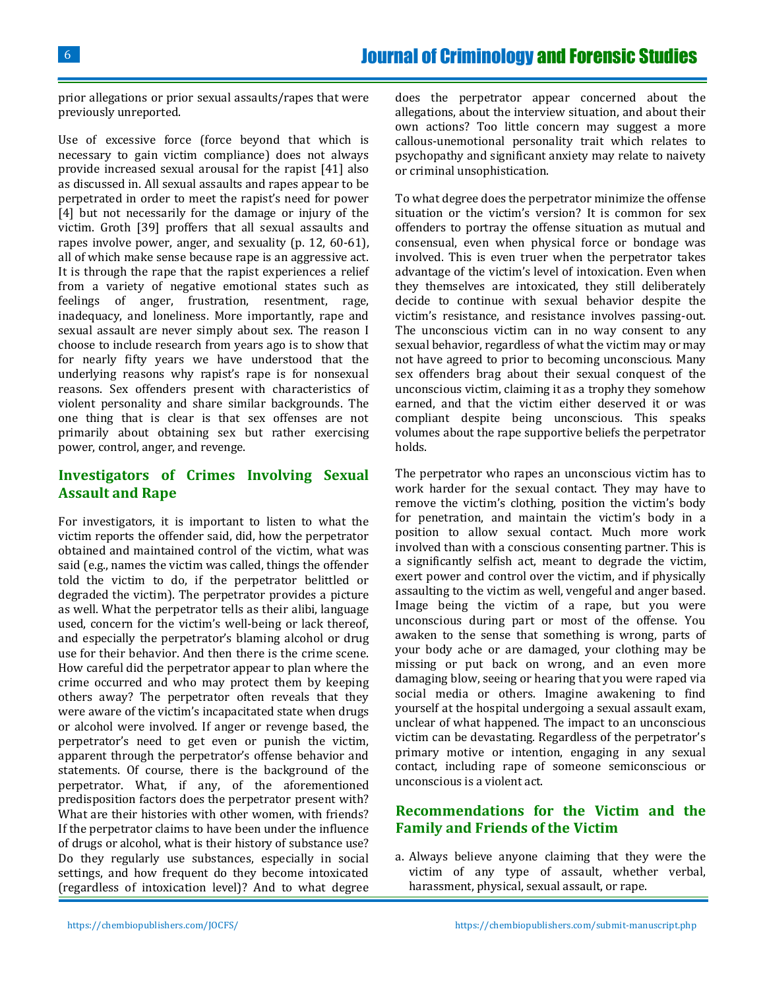prior allegations or prior sexual assaults/rapes that were previously unreported.

Use of excessive force (force beyond that which is necessary to gain victim compliance) does not always provide increased sexual arousal for the rapist [\[41\]](#page-8-19) also as discussed in. All sexual assaults and rapes appear to be perpetrated in order to meet the rapist's need for power [\[4\]](#page-7-7) but not necessarily for the damage or injury of the victim. Groth [\[39\]](#page-8-17) proffers that all sexual assaults and rapes involve power, anger, and sexuality (p. 12, 60-61), all of which make sense because rape is an aggressive act. It is through the rape that the rapist experiences a relief from a variety of negative emotional states such as feelings of anger, frustration, resentment, rage, inadequacy, and loneliness. More importantly, rape and sexual assault are never simply about sex. The reason I choose to include research from years ago is to show that for nearly fifty years we have understood that the underlying reasons why rapist's rape is for nonsexual reasons. Sex offenders present with characteristics of violent personality and share similar backgrounds. The one thing that is clear is that sex offenses are not primarily about obtaining sex but rather exercising power, control, anger, and revenge.

# **Investigators of Crimes Involving Sexual Assault and Rape**

For investigators, it is important to listen to what the victim reports the offender said, did, how the perpetrator obtained and maintained control of the victim, what was said (e.g., names the victim was called, things the offender told the victim to do, if the perpetrator belittled or degraded the victim). The perpetrator provides a picture as well. What the perpetrator tells as their alibi, language used, concern for the victim's well-being or lack thereof, and especially the perpetrator's blaming alcohol or drug use for their behavior. And then there is the crime scene. How careful did the perpetrator appear to plan where the crime occurred and who may protect them by keeping others away? The perpetrator often reveals that they were aware of the victim's incapacitated state when drugs or alcohol were involved. If anger or revenge based, the perpetrator's need to get even or punish the victim, apparent through the perpetrator's offense behavior and statements. Of course, there is the background of the perpetrator. What, if any, of the aforementioned predisposition factors does the perpetrator present with? What are their histories with other women, with friends? If the perpetrator claims to have been under the influence of drugs or alcohol, what is their history of substance use? Do they regularly use substances, especially in social settings, and how frequent do they become intoxicated (regardless of intoxication level)? And to what degree

does the perpetrator appear concerned about the allegations, about the interview situation, and about their own actions? Too little concern may suggest a more callous-unemotional personality trait which relates to psychopathy and significant anxiety may relate to naivety or criminal unsophistication.

To what degree does the perpetrator minimize the offense situation or the victim's version? It is common for sex offenders to portray the offense situation as mutual and consensual, even when physical force or bondage was involved. This is even truer when the perpetrator takes advantage of the victim's level of intoxication. Even when they themselves are intoxicated, they still deliberately decide to continue with sexual behavior despite the victim's resistance, and resistance involves passing-out. The unconscious victim can in no way consent to any sexual behavior, regardless of what the victim may or may not have agreed to prior to becoming unconscious. Many sex offenders brag about their sexual conquest of the unconscious victim, claiming it as a trophy they somehow earned, and that the victim either deserved it or was compliant despite being unconscious. This speaks volumes about the rape supportive beliefs the perpetrator holds.

The perpetrator who rapes an unconscious victim has to work harder for the sexual contact. They may have to remove the victim's clothing, position the victim's body for penetration, and maintain the victim's body in a position to allow sexual contact. Much more work involved than with a conscious consenting partner. This is a significantly selfish act, meant to degrade the victim, exert power and control over the victim, and if physically assaulting to the victim as well, vengeful and anger based. Image being the victim of a rape, but you were unconscious during part or most of the offense. You awaken to the sense that something is wrong, parts of your body ache or are damaged, your clothing may be missing or put back on wrong, and an even more damaging blow, seeing or hearing that you were raped via social media or others. Imagine awakening to find yourself at the hospital undergoing a sexual assault exam, unclear of what happened. The impact to an unconscious victim can be devastating. Regardless of the perpetrator's primary motive or intention, engaging in any sexual contact, including rape of someone semiconscious or unconscious is a violent act.

# **Recommendations for the Victim and the Family and Friends of the Victim**

a. Always believe anyone claiming that they were the victim of any type of assault, whether verbal, harassment, physical, sexual assault, or rape.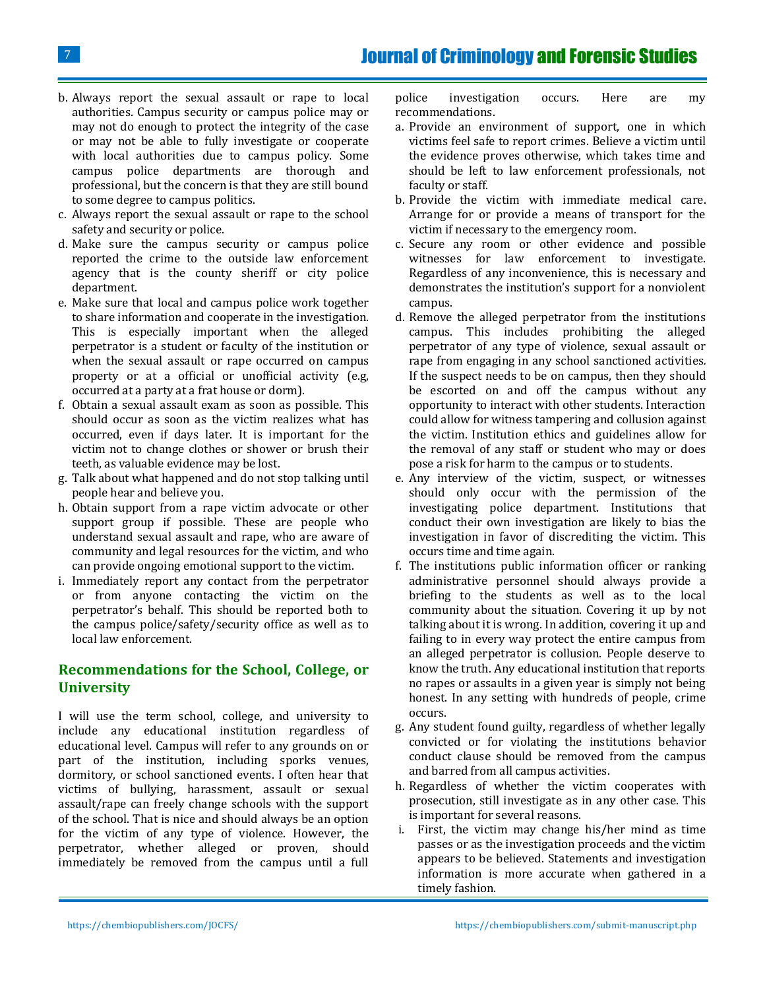- b. Always report the sexual assault or rape to local authorities. Campus security or campus police may or may not do enough to protect the integrity of the case or may not be able to fully investigate or cooperate with local authorities due to campus policy. Some campus police departments are thorough and professional, but the concern is that they are still bound to some degree to campus politics.
- c. Always report the sexual assault or rape to the school safety and security or police.
- d. Make sure the campus security or campus police reported the crime to the outside law enforcement agency that is the county sheriff or city police department.
- e. Make sure that local and campus police work together to share information and cooperate in the investigation. This is especially important when the alleged perpetrator is a student or faculty of the institution or when the sexual assault or rape occurred on campus property or at a official or unofficial activity (e.g, occurred at a party at a frat house or dorm).
- f. Obtain a sexual assault exam as soon as possible. This should occur as soon as the victim realizes what has occurred, even if days later. It is important for the victim not to change clothes or shower or brush their teeth, as valuable evidence may be lost.
- g. Talk about what happened and do not stop talking until people hear and believe you.
- h. Obtain support from a rape victim advocate or other support group if possible. These are people who understand sexual assault and rape, who are aware of community and legal resources for the victim, and who can provide ongoing emotional support to the victim.
- i. Immediately report any contact from the perpetrator or from anyone contacting the victim on the perpetrator's behalf. This should be reported both to the campus police/safety/security office as well as to local law enforcement.

# **Recommendations for the School, College, or University**

I will use the term school, college, and university to include any educational institution regardless of educational level. Campus will refer to any grounds on or part of the institution, including sporks venues, dormitory, or school sanctioned events. I often hear that victims of bullying, harassment, assault or sexual assault/rape can freely change schools with the support of the school. That is nice and should always be an option for the victim of any type of violence. However, the perpetrator, whether alleged or proven, should immediately be removed from the campus until a full police investigation occurs. Here are my recommendations.

- a. Provide an environment of support, one in which victims feel safe to report crimes. Believe a victim until the evidence proves otherwise, which takes time and should be left to law enforcement professionals, not faculty or staff.
- b. Provide the victim with immediate medical care. Arrange for or provide a means of transport for the victim if necessary to the emergency room.
- c. Secure any room or other evidence and possible witnesses for law enforcement to investigate. Regardless of any inconvenience, this is necessary and demonstrates the institution's support for a nonviolent campus.
- d. Remove the alleged perpetrator from the institutions campus. This includes prohibiting the alleged perpetrator of any type of violence, sexual assault or rape from engaging in any school sanctioned activities*.*  If the suspect needs to be on campus, then they should be escorted on and off the campus without any opportunity to interact with other students. Interaction could allow for witness tampering and collusion against the victim. Institution ethics and guidelines allow for the removal of any staff or student who may or does pose a risk for harm to the campus or to students.
- e. Any interview of the victim, suspect, or witnesses should only occur with the permission of the investigating police department. Institutions that conduct their own investigation are likely to bias the investigation in favor of discrediting the victim. This occurs time and time again.
- f. The institutions public information officer or ranking administrative personnel should always provide a briefing to the students as well as to the local community about the situation. Covering it up by not talking about it is wrong. In addition, covering it up and failing to in every way protect the entire campus from an alleged perpetrator is collusion. People deserve to know the truth. Any educational institution that reports no rapes or assaults in a given year is simply not being honest. In any setting with hundreds of people, crime occurs.
- g. Any student found guilty, regardless of whether legally convicted or for violating the institutions behavior conduct clause should be removed from the campus and barred from all campus activities.
- h. Regardless of whether the victim cooperates with prosecution, still investigate as in any other case. This is important for several reasons.
- i. First, the victim may change his/her mind as time passes or as the investigation proceeds and the victim appears to be believed. Statements and investigation information is more accurate when gathered in a timely fashion.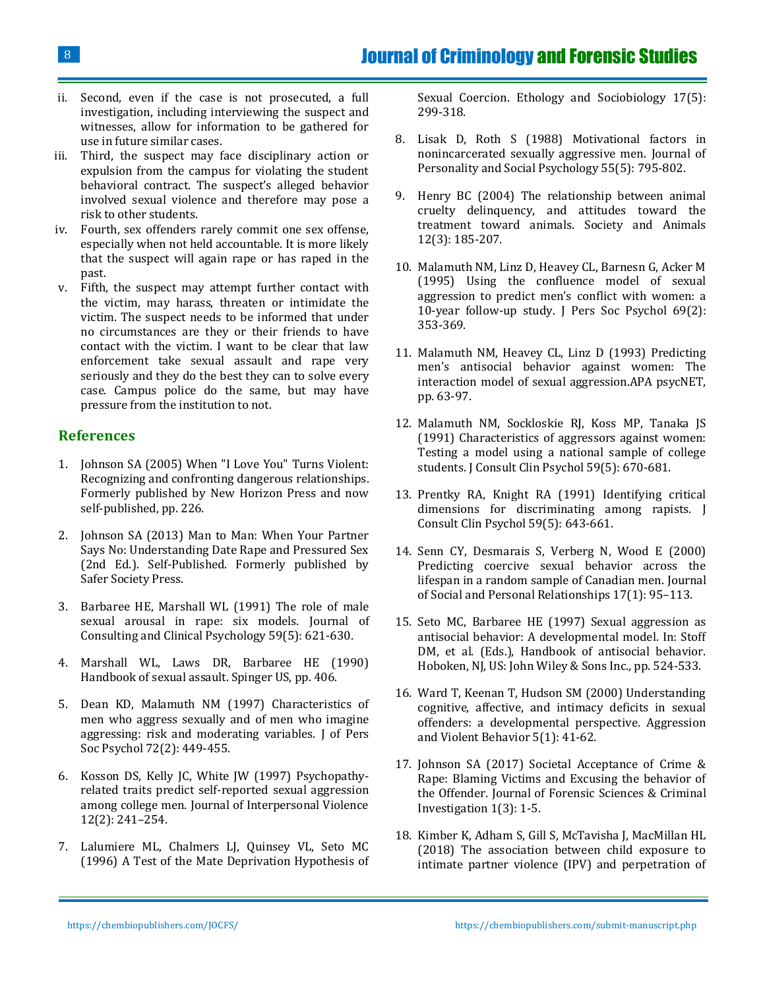- ii. Second, even if the case is not prosecuted, a full investigation, including interviewing the suspect and witnesses, allow for information to be gathered for use in future similar cases.
- iii. Third, the suspect may face disciplinary action or expulsion from the campus for violating the student behavioral contract. The suspect's alleged behavior involved sexual violence and therefore may pose a risk to other students.
- iv. Fourth, sex offenders rarely commit one sex offense, especially when not held accountable. It is more likely that the suspect will again rape or has raped in the past.
- v. Fifth, the suspect may attempt further contact with the victim, may harass, threaten or intimidate the victim. The suspect needs to be informed that under no circumstances are they or their friends to have contact with the victim. I want to be clear that law enforcement take sexual assault and rape very seriously and they do the best they can to solve every case. Campus police do the same, but may have pressure from the institution to not.

# **References**

- <span id="page-7-0"></span>1. [Johnson SA \(2005\) When "I Love You" Turns Violent:](https://trove.nla.gov.au/work/20961353)  [Recognizing and confronting dangerous relationships.](https://trove.nla.gov.au/work/20961353)  [Formerly published by New Horizon Press and now](https://trove.nla.gov.au/work/20961353)  [self-published, pp. 226.](https://trove.nla.gov.au/work/20961353)
- <span id="page-7-1"></span>2. Johnson SA (2013) Man to Man: When Your Partner Says No: Understanding Date Rape and Pressured Sex (2nd Ed.). Self-Published. Formerly published by Safer Society Press.
- <span id="page-7-2"></span>3. [Barbaree HE, Marshall WL \(1991\) The role of male](http://psycnet.apa.org/record/1992-05846-001)  [sexual arousal in rape: six models. Journal of](http://psycnet.apa.org/record/1992-05846-001)  [Consulting and Clinical Psychology 59\(5\): 621-630.](http://psycnet.apa.org/record/1992-05846-001)
- <span id="page-7-7"></span>4. [Marshall WL, Laws DR, Barbaree HE \(1990\)](https://www.springer.com/gp/book/9780306432729)  [Handbook of sexual assault. Spinger US, pp. 406.](https://www.springer.com/gp/book/9780306432729)
- 5. [Dean KD, Malamuth NM \(1997\) Characteristics of](https://www.ncbi.nlm.nih.gov/pubmed/9107010)  [men who aggress sexually and of men who imagine](https://www.ncbi.nlm.nih.gov/pubmed/9107010)  [aggressing: risk and moderating variables. J of Pers](https://www.ncbi.nlm.nih.gov/pubmed/9107010)  [Soc Psychol 72\(2\): 449-455.](https://www.ncbi.nlm.nih.gov/pubmed/9107010)
- 6. [Kosson DS, Kelly JC, White JW \(1997\) Psychopathy](http://journals.sagepub.com/doi/abs/10.1177/088626097012002006)[related traits predict self-reported sexual aggression](http://journals.sagepub.com/doi/abs/10.1177/088626097012002006)  [among college men. Journal of Interpersonal Violence](http://journals.sagepub.com/doi/abs/10.1177/088626097012002006)  [12\(2\):](http://journals.sagepub.com/doi/abs/10.1177/088626097012002006) 241–254.
- 7. [Lalumiere ML, Chalmers LJ, Quinsey VL, Seto MC](https://www.sciencedirect.com/science/article/pii/S0162309596000763)  [\(1996\) A Test of the Mate Deprivation Hypothesis of](https://www.sciencedirect.com/science/article/pii/S0162309596000763)

[Sexual Coercion. Ethology and Sociobiology 17\(5\):](https://www.sciencedirect.com/science/article/pii/S0162309596000763) [299-318.](https://www.sciencedirect.com/science/article/pii/S0162309596000763)

- 8. [Lisak D, Roth S \(1988\) Motivational factors in](https://www.ncbi.nlm.nih.gov/pubmed/3210146)  [nonincarcerated sexually aggressive men. Journal of](https://www.ncbi.nlm.nih.gov/pubmed/3210146)  [Personality and Social Psychology 55\(5\):](https://www.ncbi.nlm.nih.gov/pubmed/3210146) 795-802.
- <span id="page-7-6"></span>9. [Henry BC \(2004\) The relationship between animal](http://www.animalsandsociety.org/wp-content/uploads/2015/11/henry.pdf)  [cruelty delinquency, and attitudes toward the](http://www.animalsandsociety.org/wp-content/uploads/2015/11/henry.pdf)  [treatment toward animals. Society and Animals](http://www.animalsandsociety.org/wp-content/uploads/2015/11/henry.pdf)  12(3): [185-207.](http://www.animalsandsociety.org/wp-content/uploads/2015/11/henry.pdf)
- 10. [Malamuth NM, Linz D, Heavey CL, Barnesn G, Acker M](https://www.ncbi.nlm.nih.gov/pubmed/7643309)  [\(1995\) Using the confluence model of sexual](https://www.ncbi.nlm.nih.gov/pubmed/7643309)  aggress[ion to predict men's conflict with women: a](https://www.ncbi.nlm.nih.gov/pubmed/7643309)  [10-year follow-up study. J Pers Soc Psychol 69\(2\):](https://www.ncbi.nlm.nih.gov/pubmed/7643309) [353-369.](https://www.ncbi.nlm.nih.gov/pubmed/7643309)
- 11. [Malamuth NM, Heavey CL, Linz D \(1993\) Predicting](http://psycnet.apa.org/record/1993-97991-003)  [men's antisocial behavior against women: Th](http://psycnet.apa.org/record/1993-97991-003)e [interaction model of sexual aggression.APA psycNET,](http://psycnet.apa.org/record/1993-97991-003)  [pp. 63-97.](http://psycnet.apa.org/record/1993-97991-003)
- 12. [Malamuth NM, Sockloskie RJ, Koss MP, Tanaka JS](https://www.ncbi.nlm.nih.gov/pubmed/1955602)  [\(1991\) Characteristics of aggressors against women:](https://www.ncbi.nlm.nih.gov/pubmed/1955602)  [Testing a model using a national sample of college](https://www.ncbi.nlm.nih.gov/pubmed/1955602)  [students. J Consult Clin Psychol 59\(5\): 670-681.](https://www.ncbi.nlm.nih.gov/pubmed/1955602)
- 13. [Prentky RA, Knight RA \(1991\) Identifying critical](https://www.ncbi.nlm.nih.gov/pubmed/1955600)  [dimensions for discriminating among rapists. J](https://www.ncbi.nlm.nih.gov/pubmed/1955600)  [Consult Clin Psychol 59\(5\): 643-661.](https://www.ncbi.nlm.nih.gov/pubmed/1955600)
- 14. [Senn CY, Desmarais S, Verberg N, Wood E \(2000\)](http://journals.sagepub.com/doi/10.1177/0265407500171005)  [Predicting coercive sexual behavior across the](http://journals.sagepub.com/doi/10.1177/0265407500171005)  [lifespan in a random sample of Canadian men. Journal](http://journals.sagepub.com/doi/10.1177/0265407500171005)  [of Social and Personal Relationships 17\(1\): 95](http://journals.sagepub.com/doi/10.1177/0265407500171005)–113.
- 15. [Seto MC, Barbaree HE \(1997\) Sexual aggression as](http://psycnet.apa.org/record/1997-36421-048)  [antisocial behavior: A developmental model. In: Stoff](http://psycnet.apa.org/record/1997-36421-048)  [DM, et al. \(Eds.\), Handbook of antisocial behavior.](http://psycnet.apa.org/record/1997-36421-048)  [Hoboken, NJ, US: John Wiley & Sons Inc., pp. 524-533.](http://psycnet.apa.org/record/1997-36421-048)
- <span id="page-7-3"></span>16. [Ward T, Keenan T, Hudson SM \(2000\) Understanding](https://www.sciencedirect.com/science/article/pii/S1359178998000251)  [cognitive, affective, and intimacy deficits in sexual](https://www.sciencedirect.com/science/article/pii/S1359178998000251)  [offenders: a developmental perspective. Aggression](https://www.sciencedirect.com/science/article/pii/S1359178998000251)  [and Violent Behavior 5\(1\): 41-62.](https://www.sciencedirect.com/science/article/pii/S1359178998000251)
- <span id="page-7-4"></span>17. [Johnson SA \(2017\) Societal Acceptance of Crime &](https://juniperpublishers.com/jfsci/pdf/JFSCI.MS.ID.555564.pdf)  [Rape: Blaming Victims and Excusing the behavior of](https://juniperpublishers.com/jfsci/pdf/JFSCI.MS.ID.555564.pdf)  [the Offender. Journal of Forensic Sciences & Criminal](https://juniperpublishers.com/jfsci/pdf/JFSCI.MS.ID.555564.pdf)  [Investigation 1\(3\): 1-5.](https://juniperpublishers.com/jfsci/pdf/JFSCI.MS.ID.555564.pdf)
- <span id="page-7-5"></span>18. [Kimber K, Adham S, Gill S, McTavisha J, MacMillan HL](https://www.ncbi.nlm.nih.gov/pubmed/29175277)  [\(2018\) The association between child exposure to](https://www.ncbi.nlm.nih.gov/pubmed/29175277)  [intimate partner violence \(IPV\) and perpetration of](https://www.ncbi.nlm.nih.gov/pubmed/29175277)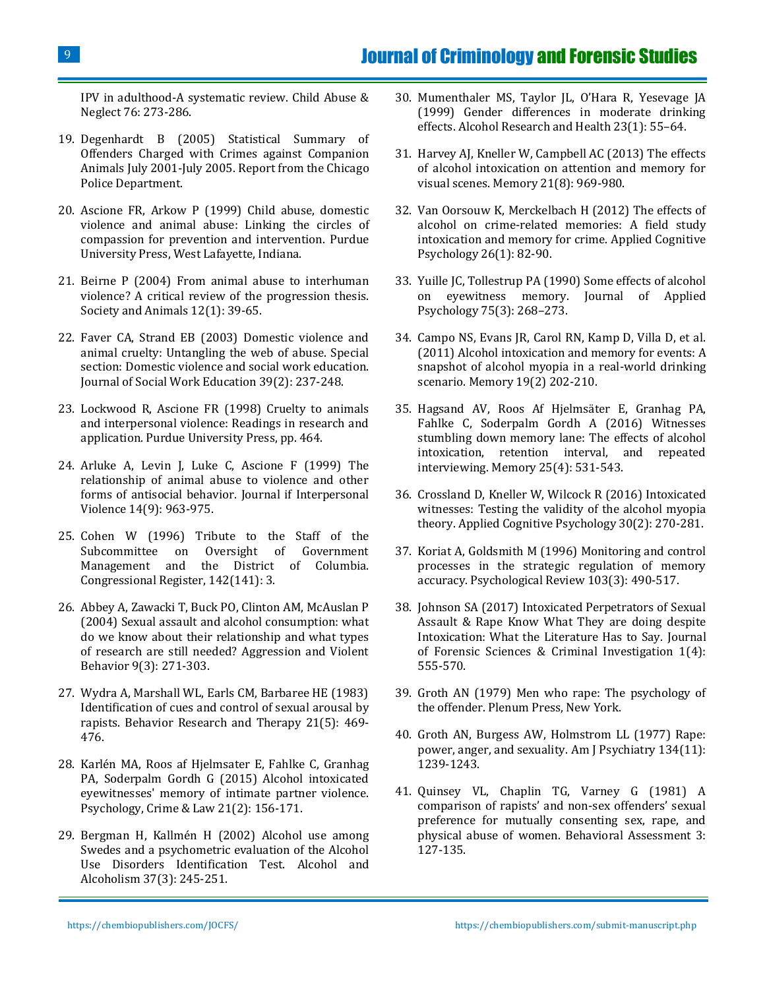# Journal of Criminology and Forensic Studies

IPV in adulthood-A systematic review. Child Abuse & Neglect 76: 273-286.

- <span id="page-8-0"></span>19. Degenhardt B (2005) Statistical Summary of Offenders Charged with Crimes against Companion Animals July 2001-July 2005. Report from the Chicago Police Department.
- <span id="page-8-1"></span>20. [Ascione FR, Arkow P \(1999\) Child abuse, domestic](http://habricentral.org/resources/514/download/Child_Abuse_Optimized.pdf?token)  [violence and animal abuse: Linking the circles of](http://habricentral.org/resources/514/download/Child_Abuse_Optimized.pdf?token)  [compassion for prevention and intervention. Purdue](http://habricentral.org/resources/514/download/Child_Abuse_Optimized.pdf?token)  [University Press, West Lafayette, Indiana.](http://habricentral.org/resources/514/download/Child_Abuse_Optimized.pdf?token)
- 21. [Beirne P \(2004\) From animal abuse to interhuman](https://digitalcommons.usm.maine.edu/cgi/viewcontent.cgi?article=1001&context=criminology)  [violence? A critical review of the progression thesis.](https://digitalcommons.usm.maine.edu/cgi/viewcontent.cgi?article=1001&context=criminology)  [Society and Animals 12\(1\): 39-65.](https://digitalcommons.usm.maine.edu/cgi/viewcontent.cgi?article=1001&context=criminology)
- 22. [Faver CA, Strand EB \(2003\) Domestic violence and](https://www.tandfonline.com/doi/abs/10.1080/10437797.2003.10779134)  [animal cruelty: Untangling the web of abuse. Special](https://www.tandfonline.com/doi/abs/10.1080/10437797.2003.10779134)  [section: Domestic violence and social work education.](https://www.tandfonline.com/doi/abs/10.1080/10437797.2003.10779134)  [Journal of Social Work Education 39\(2\): 237-248.](https://www.tandfonline.com/doi/abs/10.1080/10437797.2003.10779134)
- <span id="page-8-2"></span>23. [Lockwood R, Ascione FR \(1998\) Cruelty to animals](http://www.thepress.purdue.edu/titles/format/9781557531056)  [and interpersonal violence: Readings in research and](http://www.thepress.purdue.edu/titles/format/9781557531056)  [application. Purdue University Press, pp. 464.](http://www.thepress.purdue.edu/titles/format/9781557531056)
- <span id="page-8-3"></span>24. [Arluke A, Levin J, Luke C, Ascione F \(1999\) The](http://journals.sagepub.com/doi/abs/10.1177/088626099014009004)  [relationship of animal abuse to violence and other](http://journals.sagepub.com/doi/abs/10.1177/088626099014009004)  [forms of antisocial behavior. Journal if Interpersonal](http://journals.sagepub.com/doi/abs/10.1177/088626099014009004)  [Violence 14\(9\):](http://journals.sagepub.com/doi/abs/10.1177/088626099014009004) 963-975.
- <span id="page-8-4"></span>25. [Cohen W \(1996\) Tribute to the Staff of the](https://www.gpo.gov/fdsys/pkg/CREC-1996-10-03/html/CREC-1996-10-03-pt1-PgS12329-3.htm)  [Subcommittee on Oversight of Government](https://www.gpo.gov/fdsys/pkg/CREC-1996-10-03/html/CREC-1996-10-03-pt1-PgS12329-3.htm)  [Management and the District of Columbia.](https://www.gpo.gov/fdsys/pkg/CREC-1996-10-03/html/CREC-1996-10-03-pt1-PgS12329-3.htm)  [Congressional Register, 142\(141\): 3.](https://www.gpo.gov/fdsys/pkg/CREC-1996-10-03/html/CREC-1996-10-03-pt1-PgS12329-3.htm)
- <span id="page-8-5"></span>26. [Abbey A, Zawacki T, Buck PO, Clinton AM, McAuslan P](https://www.ncbi.nlm.nih.gov/pubmed/26500424)  [\(2004\) Sexual assault and alcohol consumption: what](https://www.ncbi.nlm.nih.gov/pubmed/26500424)  [do we know about their relationship and what types](https://www.ncbi.nlm.nih.gov/pubmed/26500424)  [of research are still needed? Aggression and Violent](https://www.ncbi.nlm.nih.gov/pubmed/26500424)  [Behavior 9\(3\): 271-303.](https://www.ncbi.nlm.nih.gov/pubmed/26500424)
- <span id="page-8-6"></span>27. [Wydra A, Marshall WL, Earls CM, Barbaree HE \(1983\)](https://www.ncbi.nlm.nih.gov/pubmed/6360122)  [Identification of cues and control of sexual arousal by](https://www.ncbi.nlm.nih.gov/pubmed/6360122)  [rapists. Behavior Research and Therapy 21\(5\):](https://www.ncbi.nlm.nih.gov/pubmed/6360122) 469- [476.](https://www.ncbi.nlm.nih.gov/pubmed/6360122)
- <span id="page-8-7"></span>28. [Karlén MA, Roos af Hjelmsater E, Fahlke C, Granhag](https://www.tandfonline.com/doi/abs/10.1080/1068316X.2014.951644)  [PA, Soderpalm Gordh G \(2015\) Alcohol intoxicated](https://www.tandfonline.com/doi/abs/10.1080/1068316X.2014.951644)  [eyewitnesses' memory of intimate partner violence.](https://www.tandfonline.com/doi/abs/10.1080/1068316X.2014.951644)  [Psychology, Crime & Law 21\(2\): 156-171.](https://www.tandfonline.com/doi/abs/10.1080/1068316X.2014.951644)
- 29. [Bergman H, Kallmén H \(2002\) Alcohol use among](https://academic.oup.com/alcalc/article/37/3/245/132293)  [Swedes and a psychometric evaluation of the Alcohol](https://academic.oup.com/alcalc/article/37/3/245/132293)  [Use Disorders Identification Test. Alcohol and](https://academic.oup.com/alcalc/article/37/3/245/132293)  [Alcoholism 37\(3\): 245-251.](https://academic.oup.com/alcalc/article/37/3/245/132293)
- <span id="page-8-8"></span>30. [Mumenthaler MS, Taylor JL, O'Hara R, Yesevage JA](https://www.ncbi.nlm.nih.gov/pubmed/10890798)  [\(1999\) Gender differences in moderate drinking](https://www.ncbi.nlm.nih.gov/pubmed/10890798)  [effects. Alcohol Research and Health 23\(1\):](https://www.ncbi.nlm.nih.gov/pubmed/10890798) 55–64.
- <span id="page-8-9"></span>31. [Harvey AJ, Kneller W, Campbell AC \(2013\) The effects](https://www.tandfonline.com/doi/abs/10.1080/09658211.2013.770033)  [of alcohol intoxication on attention and memory for](https://www.tandfonline.com/doi/abs/10.1080/09658211.2013.770033)  [visual scenes. Memory 21\(8\): 969-980.](https://www.tandfonline.com/doi/abs/10.1080/09658211.2013.770033)
- <span id="page-8-10"></span>32. [Van Oorsouw K, Merckelbach H \(2012\) The effects of](https://onlinelibrary.wiley.com/doi/abs/10.1002/acp.1799)  [alcohol on crime-related memories: A field study](https://onlinelibrary.wiley.com/doi/abs/10.1002/acp.1799)  [intoxication and memory for crime. Applied Cognitive](https://onlinelibrary.wiley.com/doi/abs/10.1002/acp.1799)  [Psychology 26\(1\): 82-90.](https://onlinelibrary.wiley.com/doi/abs/10.1002/acp.1799)
- <span id="page-8-11"></span>33. Yuille JC, Tollestrup [PA \(1990\) Some effects of alcohol](http://psycnet.apa.org/buy/1990-24881-001)  [on eyewitness memory. Journal of Applied](http://psycnet.apa.org/buy/1990-24881-001)  [Psychology 75\(3\): 268](http://psycnet.apa.org/buy/1990-24881-001)–273.
- <span id="page-8-12"></span>34. [Campo NS, Evans JR, Carol RN, Kamp D, Villa D, et al.](https://www.ncbi.nlm.nih.gov/pubmed/21331970)  [\(2011\) Alcohol intoxication and memory for events: A](https://www.ncbi.nlm.nih.gov/pubmed/21331970)  [snapshot of alcohol myopia in a real-world drinking](https://www.ncbi.nlm.nih.gov/pubmed/21331970)  [scenario. Memory 19\(2\) 202-210.](https://www.ncbi.nlm.nih.gov/pubmed/21331970)
- <span id="page-8-13"></span>35. [Hagsand AV, Roos Af Hjelmsäter E, Granhag PA,](https://www.ncbi.nlm.nih.gov/pubmed/27249626)  [Fahlke C, Soderpalm Gordh A \(2016\) Witnesses](https://www.ncbi.nlm.nih.gov/pubmed/27249626)  [stumbling down memory lane: The effects of alcohol](https://www.ncbi.nlm.nih.gov/pubmed/27249626)  [intoxication, retention interval, and repeated](https://www.ncbi.nlm.nih.gov/pubmed/27249626)  [interviewing. Memory 25\(4\): 531-543.](https://www.ncbi.nlm.nih.gov/pubmed/27249626)
- <span id="page-8-14"></span>36. [Crossland D, Kneller W, Wilcock R \(2016\) Intoxicated](https://onlinelibrary.wiley.com/doi/pdf/10.1002/acp.3209)  [witnesses: Testing the validity of the alcohol myopia](https://onlinelibrary.wiley.com/doi/pdf/10.1002/acp.3209)  [theory. Applied Cognitive Psychology 30\(2\): 270-281.](https://onlinelibrary.wiley.com/doi/pdf/10.1002/acp.3209)
- <span id="page-8-15"></span>37. [Koriat A, Goldsmith M \(1996\) Monitoring and control](http://psycnet.apa.org/buy/1996-01780-004)  [processes in the strategic regulation of memory](http://psycnet.apa.org/buy/1996-01780-004)  [accuracy. Psychological Review 103\(3\): 490-517.](http://psycnet.apa.org/buy/1996-01780-004)
- <span id="page-8-16"></span>38. [Johnson SA \(2017\) Intoxicated Perpetrators of Sexual](https://juniperpublishers.com/jfsci/pdf/JFSCI.MS.ID.555570.pdf)  [Assault & Rape Know What They are doing despite](https://juniperpublishers.com/jfsci/pdf/JFSCI.MS.ID.555570.pdf)  [Intoxication: What the Literature Has to Say. Journal](https://juniperpublishers.com/jfsci/pdf/JFSCI.MS.ID.555570.pdf)  [of Forensic Sciences & Criminal Investigation 1\(4\):](https://juniperpublishers.com/jfsci/pdf/JFSCI.MS.ID.555570.pdf)  [555-570.](https://juniperpublishers.com/jfsci/pdf/JFSCI.MS.ID.555570.pdf)
- <span id="page-8-17"></span>39. Groth AN (1979) Men [who rape: The psychology of](https://trove.nla.gov.au/work/8962718)  [the offender. Plenum Press, New York.](https://trove.nla.gov.au/work/8962718)
- <span id="page-8-18"></span>40. [Groth AN, Burgess AW, Holmstrom LL \(1977\) Rape:](https://www.ncbi.nlm.nih.gov/pubmed/910975)  [power, anger, and sexuality. Am J Psychiatry 134\(11\):](https://www.ncbi.nlm.nih.gov/pubmed/910975)  [1239-1243.](https://www.ncbi.nlm.nih.gov/pubmed/910975)
- <span id="page-8-19"></span>41. Quinsey VL, Chaplin TG, Varney G (1981) A comparison of rapists' and non-sex offenders' sexual preference for mutually consenting sex, rape, and physical abuse of women. Behavioral Assessment 3: 127-135.

9